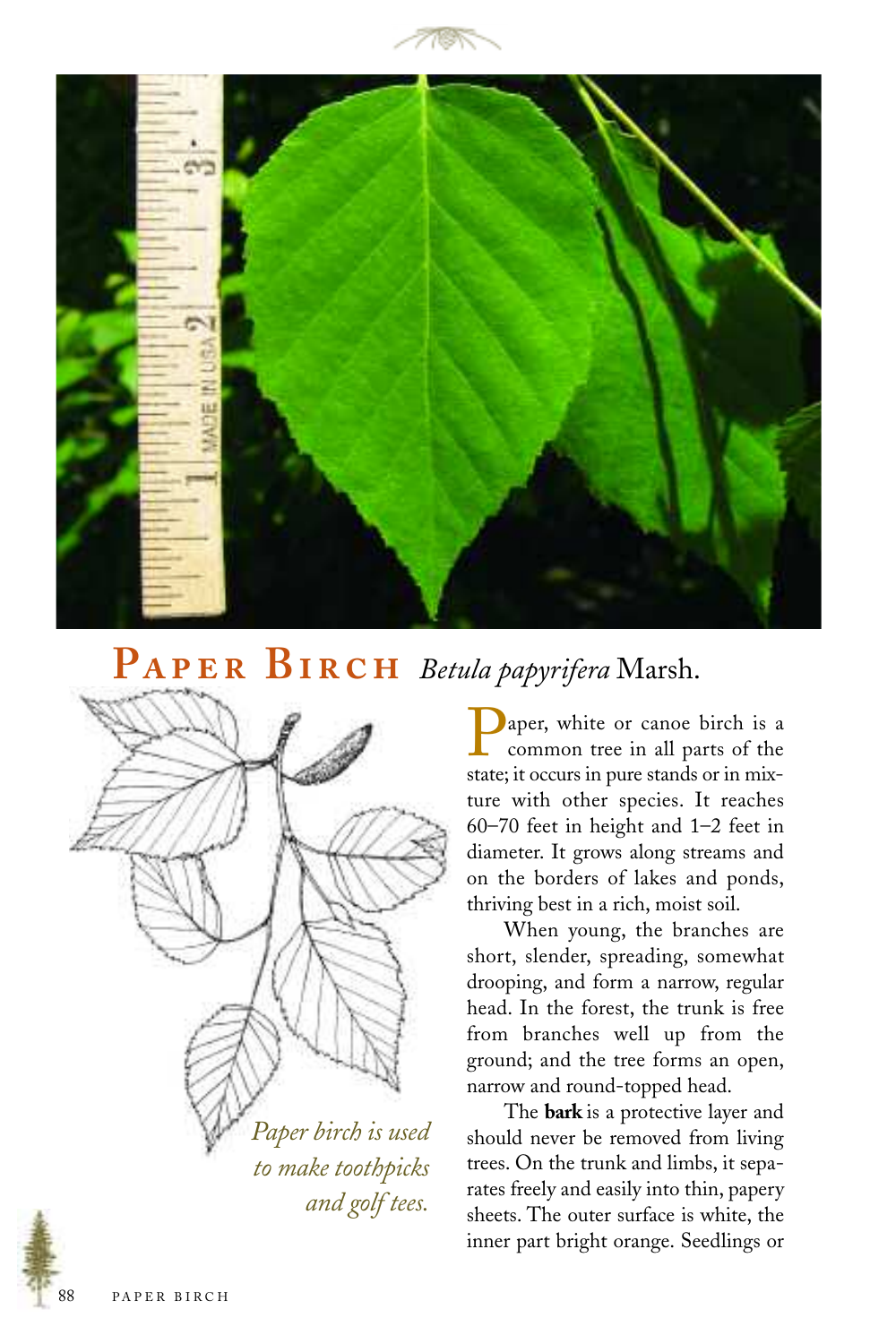



## $\bf{P}$ **A** $\bf{P}$ **E** $\bf{R}$  **BI** $\bf{R}$ **CH** *Betula papyrifera* Marsh.



*to make toothpicks and golf tees.*

aper, white or canoe birch is a common tree in all parts of the state; it occurs in pure stands or in mixture with other species. It reaches 60–70 feet in height and 1–2 feet in diameter. It grows along streams and on the borders of lakes and ponds, thriving best in a rich, moist soil.

When young, the branches are short, slender, spreading, somewhat drooping, and form a narrow, regular head. In the forest, the trunk is free from branches well up from the ground; and the tree forms an open, narrow and round-topped head.

The **bark** is a protective layer and should never be removed from living trees. On the trunk and limbs, it separates freely and easily into thin, papery sheets. The outer surface is white, the inner part bright orange. Seedlings or